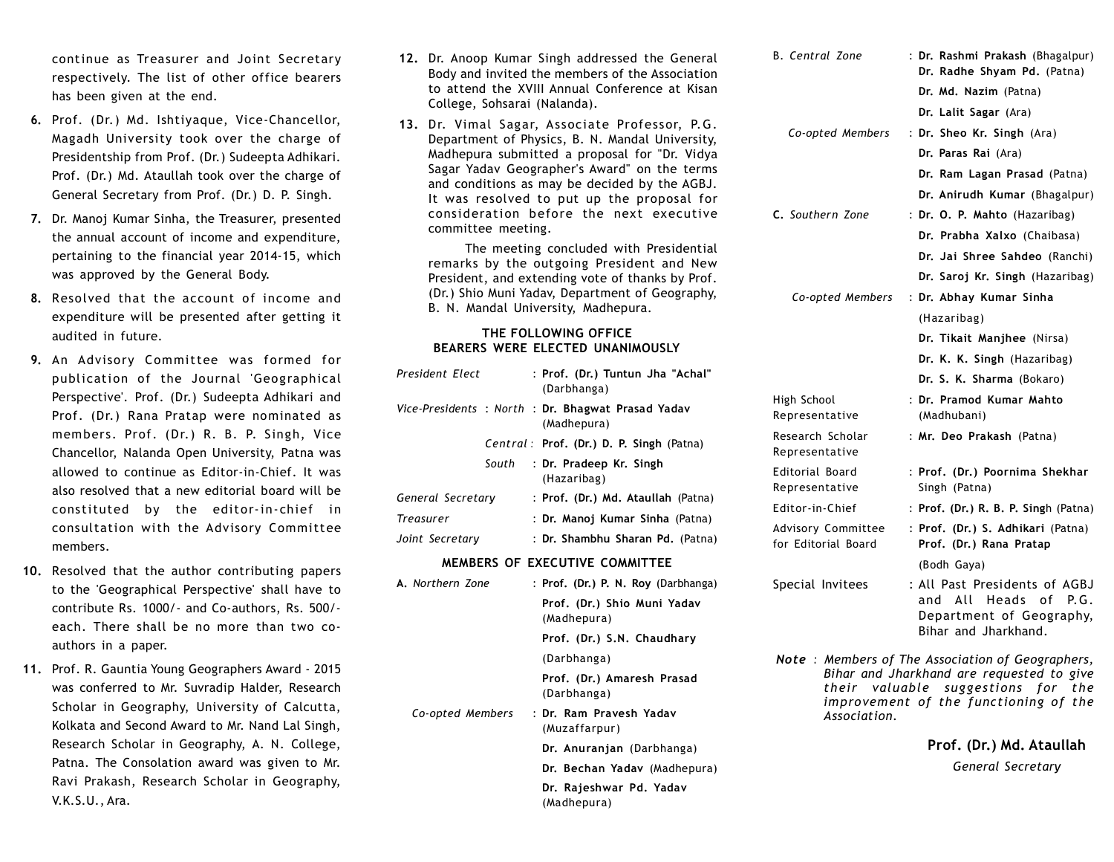continue as Treasurer and Joint Secretary respectively. The list of other office bearers has been given at the end.

- **6.** Prof. (Dr.) Md. Ishtiyaque, Vice-Chancellor, Magadh University took over the charge of Presidentship from Prof. (Dr.) Sudeepta Adhikari. Prof. (Dr.) Md. Ataullah took over the charge of General Secretary from Prof. (Dr.) D. P. Singh.
- **7.** Dr. Manoj Kumar Sinha, the Treasurer, presented the annual account of income and expenditure, pertaining to the financial year 2014-15, which was approved by the General Body.
- **8.** Resolved that the account of income and expenditure will be presented after getting it audited in future.
- **9.** An Advisory Committee was formed for publication of the Journal 'Geographical Perspective'. Prof. (Dr.) Sudeepta Adhikari and Prof. (Dr.) Rana Pratap were nominated as members. Prof. (Dr.) R. B. P. Singh, Vice Chancellor, Nalanda Open University, Patna was allowed to continue as Editor-in-Chief. It was also resolved that a new editorial board will be constituted by the editor-in-chief in consultation with the Advisory Committee members.
- **10.** Resolved that the author contributing papers to the 'Geographical Perspective' shall have to contribute Rs. 1000/- and Co-authors, Rs. 500/ each. There shall be no more than two coauthors in a paper.
- **11.** Prof. R. Gauntia Young Geographers Award 2015 was conferred to Mr. Suvradip Halder, Research Scholar in Geography, University of Calcutta, Kolkata and Second Award to Mr. Nand Lal Singh, Research Scholar in Geography, A. N. College, Patna. The Consolation award was given to Mr. Ravi Prakash, Research Scholar in Geography, V.K.S.U., Ara.
- **12.** Dr. Anoop Kumar Singh addressed the General Body and invited the members of the Association to attend the XVIII Annual Conference at Kisan College, Sohsarai (Nalanda).
- **13.** Dr. Vimal Sagar, Associate Professor, P.G. Department of Physics, B. N. Mandal University, Madhepura submitted a proposal for "Dr. Vidya Sagar Yadav Geographer's Award" on the terms and conditions as may be decided by the AGBJ. It was resolved to put up the proposal for consideration before the next executive committee meeting.

 The meeting concluded with Presidential remarks by the outgoing President and New President, and extending vote of thanks by Prof. (Dr.) Shio Muni Yadav, Department of Geography, B. N. Mandal University, Madhepura.

### **THE FOLLOWING OFFICE BEARERS WERE ELECTED UNANIMOUSLY**

| President Flect   |  |  | : Prof. (Dr.) Tuntun Jha "Achal"<br>(Darbhanga)                 |
|-------------------|--|--|-----------------------------------------------------------------|
|                   |  |  | Vice-Presidents: North: Dr. Bhagwat Prasad Yadav<br>(Madhepura) |
|                   |  |  | Central: Prof. (Dr.) D. P. Singh (Patna)                        |
|                   |  |  | South : Dr. Pradeep Kr. Singh<br>(Hazaribag)                    |
| General Secretary |  |  | : Prof. (Dr.) Md. Ataullah (Patna)                              |
| <b>Treasurer</b>  |  |  | : Dr. Manoj Kumar Sinha (Patna)                                 |
| Joint Secretary   |  |  | : Dr. Shambhu Sharan Pd. (Patna)                                |

#### **MEMBERS OF EXECUTIVE COMMITTEE**

|  | <b>A.</b> Northern Zone | : Prof. (Dr.) P. N. Roy (Darbhanga)        |
|--|-------------------------|--------------------------------------------|
|  |                         | Prof. (Dr.) Shio Muni Yadav<br>(Madhepura) |
|  |                         | Prof. (Dr.) S.N. Chaudhary                 |
|  |                         | (Darbhanga)                                |
|  |                         | Prof. (Dr.) Amaresh Prasad<br>(Darbhanga)  |
|  | Co-opted Members        | : Dr. Ram Pravesh Yadav<br>(Muzaffarpur)   |
|  |                         | Dr. Anuranjan (Darbhanga)                  |
|  |                         | Dr. Bechan Yadav (Madhepura)               |
|  |                         | Dr. Rajeshwar Pd. Yadav<br>(Madhepura)     |

| <b>B.</b> Central Zone                                                                                                                                                                             | : Dr. Rashmi Prakash (Bhagalpur)<br>Dr. Radhe Shyam Pd. (Patna)                                               |  |  |  |
|----------------------------------------------------------------------------------------------------------------------------------------------------------------------------------------------------|---------------------------------------------------------------------------------------------------------------|--|--|--|
|                                                                                                                                                                                                    | Dr. Md. Nazim (Patna)                                                                                         |  |  |  |
|                                                                                                                                                                                                    | Dr. Lalit Sagar (Ara)                                                                                         |  |  |  |
| Co-opted Members                                                                                                                                                                                   | : Dr. Sheo Kr. Singh (Ara)                                                                                    |  |  |  |
|                                                                                                                                                                                                    | Dr. Paras Rai (Ara)                                                                                           |  |  |  |
|                                                                                                                                                                                                    | Dr. Ram Lagan Prasad (Patna)                                                                                  |  |  |  |
|                                                                                                                                                                                                    | Dr. Anirudh Kumar (Bhagalpur)                                                                                 |  |  |  |
| C. Southern Zone                                                                                                                                                                                   | : Dr. O. P. Mahto (Hazaribag)                                                                                 |  |  |  |
|                                                                                                                                                                                                    | Dr. Prabha Xalxo (Chaibasa)                                                                                   |  |  |  |
|                                                                                                                                                                                                    | Dr. Jai Shree Sahdeo (Ranchi)                                                                                 |  |  |  |
|                                                                                                                                                                                                    | Dr. Saroj Kr. Singh (Hazaribag)                                                                               |  |  |  |
| Co-opted Members                                                                                                                                                                                   | : Dr. Abhay Kumar Sinha                                                                                       |  |  |  |
|                                                                                                                                                                                                    | (Hazaribag)                                                                                                   |  |  |  |
|                                                                                                                                                                                                    | Dr. Tikait Manjhee (Nirsa)                                                                                    |  |  |  |
|                                                                                                                                                                                                    | Dr. K. K. Singh (Hazaribag)                                                                                   |  |  |  |
|                                                                                                                                                                                                    | Dr. S. K. Sharma (Bokaro)                                                                                     |  |  |  |
| High School<br>Representative                                                                                                                                                                      | : Dr. Pramod Kumar Mahto<br>(Madhubani)                                                                       |  |  |  |
| Research Scholar<br>Representative                                                                                                                                                                 | : Mr. Deo Prakash (Patna)                                                                                     |  |  |  |
| Editorial Board<br>Representative                                                                                                                                                                  | : Prof. (Dr.) Poornima Shekhar<br>Singh (Patna)                                                               |  |  |  |
| Editor-in-Chief                                                                                                                                                                                    | : Prof. (Dr.) R. B. P. Singh (Patna)                                                                          |  |  |  |
| Advisory Committee<br>for Editorial Board                                                                                                                                                          | : Prof. (Dr.) S. Adhikari (Patna)<br>Prof. (Dr.) Rana Pratap                                                  |  |  |  |
|                                                                                                                                                                                                    | (Bodh Gaya)                                                                                                   |  |  |  |
| Special Invitees                                                                                                                                                                                   | : All Past Presidents of AGBJ<br>and All Heads of<br>P.G.<br>Department of Geography,<br>Bihar and Jharkhand. |  |  |  |
| Note: Members of The Association of Geographers,<br>Bihar and Jharkhand are requested to give<br>valuable suggestions<br>their<br>for the<br>improvement of the functioning of the<br>Association. |                                                                                                               |  |  |  |
|                                                                                                                                                                                                    | Prof. (Dr.) Md. Ataullah                                                                                      |  |  |  |

*General Secretary*